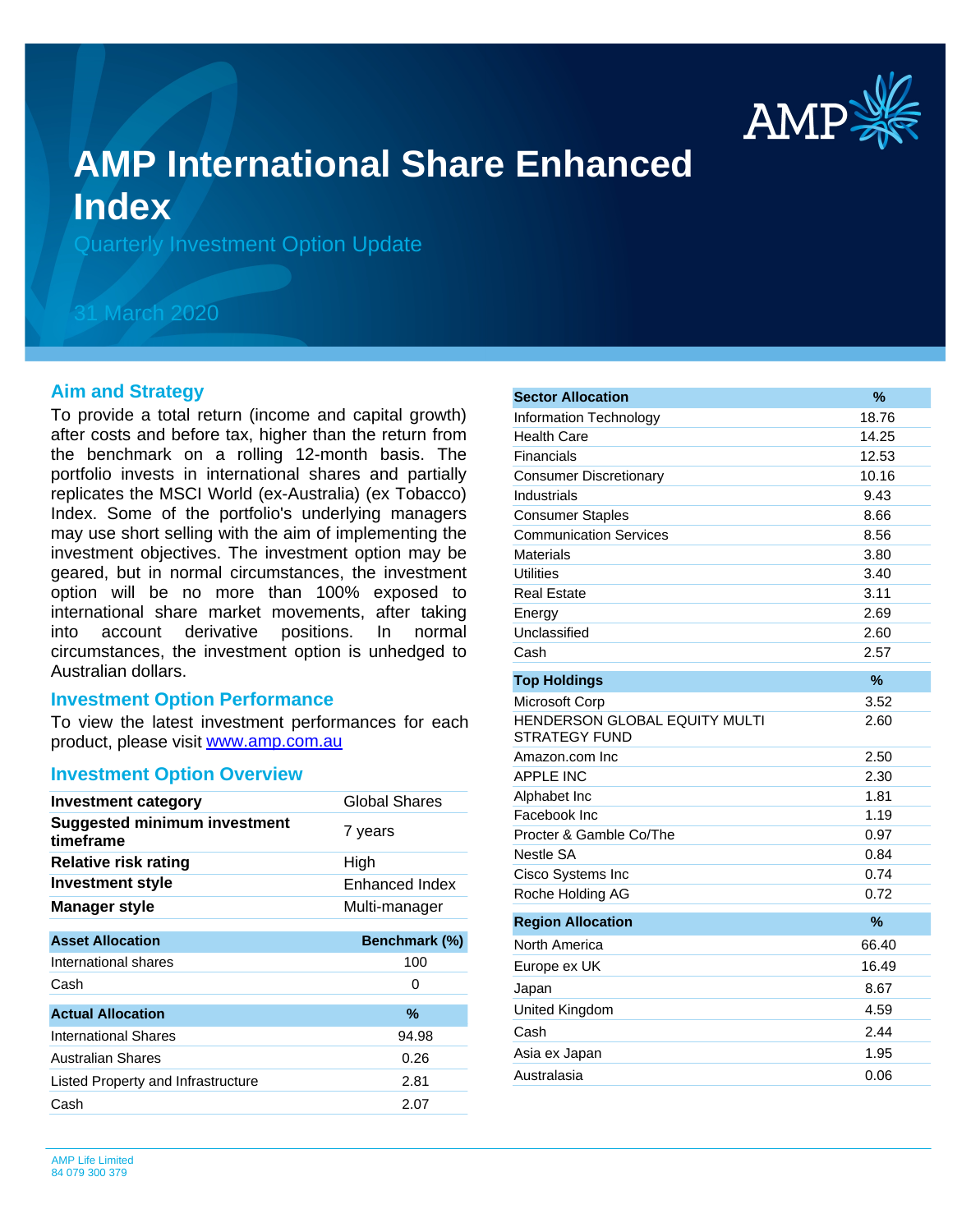

# **AMP International Share Enhanced Index**

Quarterly Investment Option Update

## 31 March 2020

#### **Aim and Strategy**

To provide a total return (income and capital growth) after costs and before tax, higher than the return from the benchmark on a rolling 12-month basis. The portfolio invests in international shares and partially replicates the MSCI World (ex-Australia) (ex Tobacco) Index. Some of the portfolio's underlying managers may use short selling with the aim of implementing the investment objectives. The investment option may be geared, but in normal circumstances, the investment option will be no more than 100% exposed to international share market movements, after taking into account derivative positions. In normal circumstances, the investment option is unhedged to Australian dollars.

#### **Investment Option Performance**

product, please visit [www.amp.com.au](https://www.amp.com.au) To view the latest investment performances for each

#### **Investment Option Overview**

| <b>Investment category</b>                       | Global Shares        |
|--------------------------------------------------|----------------------|
| <b>Suggested minimum investment</b><br>timeframe | 7 years              |
| <b>Relative risk rating</b>                      | High                 |
| <b>Investment style</b>                          | Enhanced Index       |
| <b>Manager style</b>                             | Multi-manager        |
|                                                  |                      |
| <b>Asset Allocation</b>                          | <b>Benchmark (%)</b> |
| International shares                             | 100                  |
| Cash                                             | 0                    |
| <b>Actual Allocation</b>                         | %                    |
| International Shares                             | 94.98                |
| Australian Shares                                | 0.26                 |
| Listed Property and Infrastructure               | 2.81                 |
| Cash                                             | 2.07                 |
|                                                  |                      |

| <b>Sector Allocation</b>                              | %             |
|-------------------------------------------------------|---------------|
| Information Technology                                | 18.76         |
| <b>Health Care</b>                                    | 14.25         |
| Financials                                            | 12.53         |
| <b>Consumer Discretionary</b>                         | 10.16         |
| Industrials                                           | 9.43          |
| <b>Consumer Staples</b>                               | 8.66          |
| <b>Communication Services</b>                         | 8.56          |
| Materials                                             | 3.80          |
| <b>Utilities</b>                                      | 3.40          |
| <b>Real Estate</b>                                    | 3.11          |
| Energy                                                | 2.69          |
| Unclassified                                          | 2.60          |
| Cash                                                  | 2.57          |
| <b>Top Holdings</b>                                   | $\frac{9}{6}$ |
| Microsoft Corp                                        | 3.52          |
| HENDERSON GLOBAL EQUITY MULTI<br><b>STRATEGY FUND</b> | 2.60          |
| Amazon.com Inc                                        | 2.50          |
| <b>APPLE INC</b>                                      | 2.30          |
| Alphabet Inc                                          | 1.81          |
| Facebook Inc                                          | 1.19          |
| Procter & Gamble Co/The                               | 0.97          |
| Nestle SA                                             | 0.84          |
| Cisco Systems Inc                                     | 0.74          |
| Roche Holding AG                                      | 0.72          |
| <b>Region Allocation</b>                              | $\frac{9}{6}$ |
| North America                                         | 66.40         |
| Europe ex UK                                          | 16.49         |
| Japan                                                 | 8.67          |
| United Kingdom                                        | 4.59          |
| Cash                                                  | 2.44          |
| Asia ex Japan                                         | 1.95          |
| Australasia                                           | 0.06          |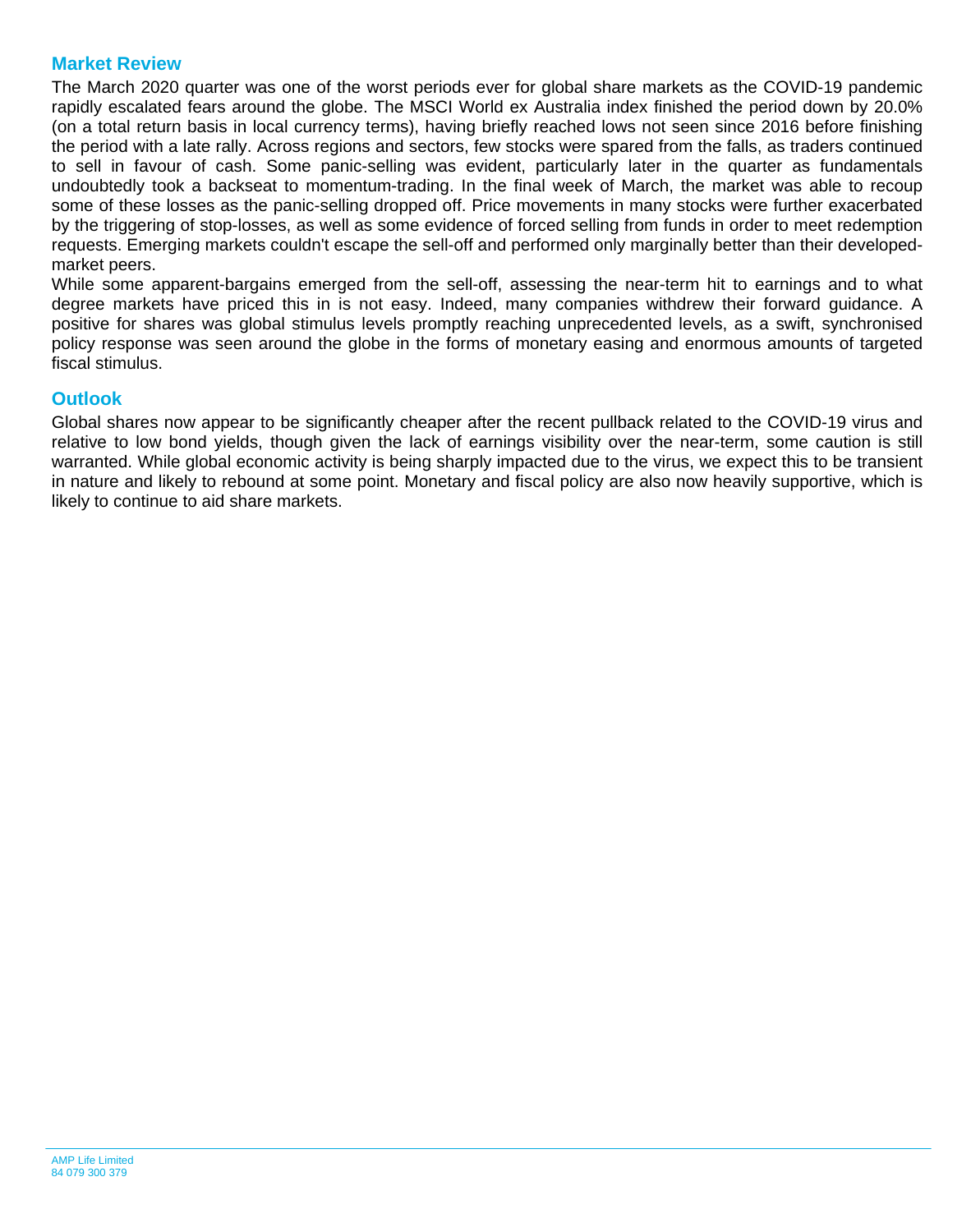### **Market Review**

The March 2020 quarter was one of the worst periods ever for global share markets as the COVID-19 pandemic rapidly escalated fears around the globe. The MSCI World ex Australia index finished the period down by 20.0% (on a total return basis in local currency terms), having briefly reached lows not seen since 2016 before finishing the period with a late rally. Across regions and sectors, few stocks were spared from the falls, as traders continued to sell in favour of cash. Some panic-selling was evident, particularly later in the quarter as fundamentals undoubtedly took a backseat to momentum-trading. In the final week of March, the market was able to recoup some of these losses as the panic-selling dropped off. Price movements in many stocks were further exacerbated by the triggering of stop-losses, as well as some evidence of forced selling from funds in order to meet redemption requests. Emerging markets couldn't escape the sell-off and performed only marginally better than their developedmarket peers.

While some apparent-bargains emerged from the sell-off, assessing the near-term hit to earnings and to what degree markets have priced this in is not easy. Indeed, many companies withdrew their forward guidance. A positive for shares was global stimulus levels promptly reaching unprecedented levels, as a swift, synchronised policy response was seen around the globe in the forms of monetary easing and enormous amounts of targeted fiscal stimulus.

#### **Outlook**

Global shares now appear to be significantly cheaper after the recent pullback related to the COVID-19 virus and relative to low bond yields, though given the lack of earnings visibility over the near-term, some caution is still warranted. While global economic activity is being sharply impacted due to the virus, we expect this to be transient in nature and likely to rebound at some point. Monetary and fiscal policy are also now heavily supportive, which is likely to continue to aid share markets.